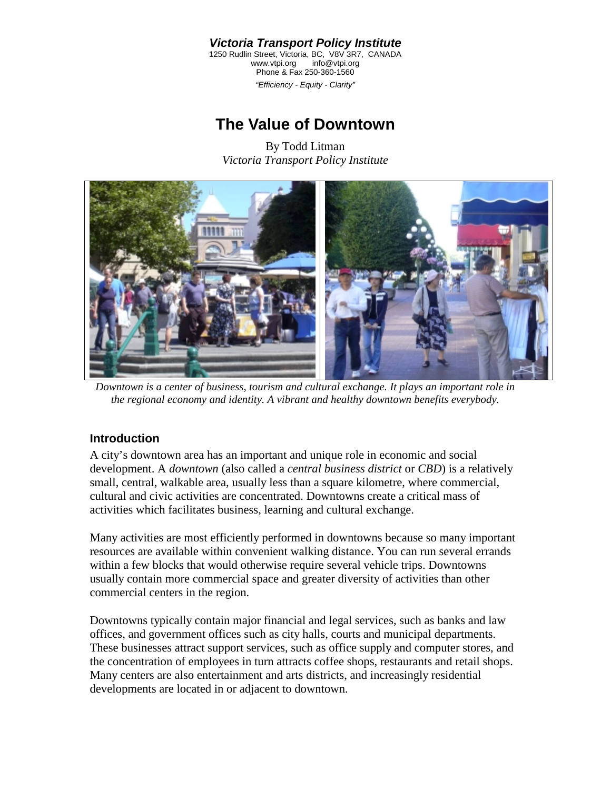*Victoria Transport Policy Institute*  1250 Rudlin Street, Victoria, BC, V8V 3R7, CANADA<br>www.vtpi.org info@vtpi.org www.vtpi.org Phone & Fax 250-360-1560 *"Efficiency - Equity - Clarity"*

# **The Value of Downtown**

By Todd Litman *Victoria Transport Policy Institute* 



*Downtown is a center of business, tourism and cultural exchange. It plays an important role in the regional economy and identity. A vibrant and healthy downtown benefits everybody.* 

# **Introduction**

A city's downtown area has an important and unique role in economic and social development. A *downtown* (also called a *central business district* or *CBD*) is a relatively small, central, walkable area, usually less than a square kilometre, where commercial, cultural and civic activities are concentrated. Downtowns create a critical mass of activities which facilitates business, learning and cultural exchange.

Many activities are most efficiently performed in downtowns because so many important resources are available within convenient walking distance. You can run several errands within a few blocks that would otherwise require several vehicle trips. Downtowns usually contain more commercial space and greater diversity of activities than other commercial centers in the region.

Downtowns typically contain major financial and legal services, such as banks and law offices, and government offices such as city halls, courts and municipal departments. These businesses attract support services, such as office supply and computer stores, and the concentration of employees in turn attracts coffee shops, restaurants and retail shops. Many centers are also entertainment and arts districts, and increasingly residential developments are located in or adjacent to downtown.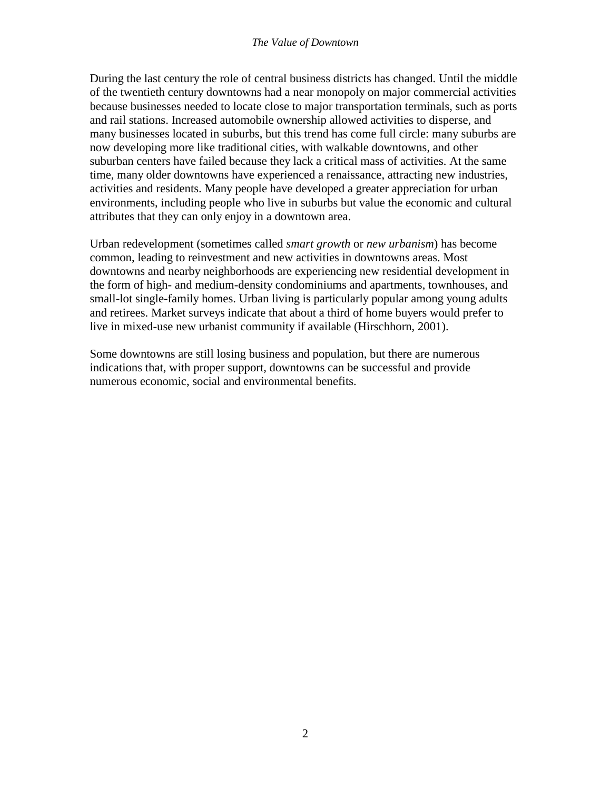During the last century the role of central business districts has changed. Until the middle of the twentieth century downtowns had a near monopoly on major commercial activities because businesses needed to locate close to major transportation terminals, such as ports and rail stations. Increased automobile ownership allowed activities to disperse, and many businesses located in suburbs, but this trend has come full circle: many suburbs are now developing more like traditional cities, with walkable downtowns, and other suburban centers have failed because they lack a critical mass of activities. At the same time, many older downtowns have experienced a renaissance, attracting new industries, activities and residents. Many people have developed a greater appreciation for urban environments, including people who live in suburbs but value the economic and cultural attributes that they can only enjoy in a downtown area.

Urban redevelopment (sometimes called *smart growth* or *new urbanism*) has become common, leading to reinvestment and new activities in downtowns areas. Most downtowns and nearby neighborhoods are experiencing new residential development in the form of high- and medium-density condominiums and apartments, townhouses, and small-lot single-family homes. Urban living is particularly popular among young adults and retirees. Market surveys indicate that about a third of home buyers would prefer to live in mixed-use new urbanist community if available (Hirschhorn, 2001).

Some downtowns are still losing business and population, but there are numerous indications that, with proper support, downtowns can be successful and provide numerous economic, social and environmental benefits.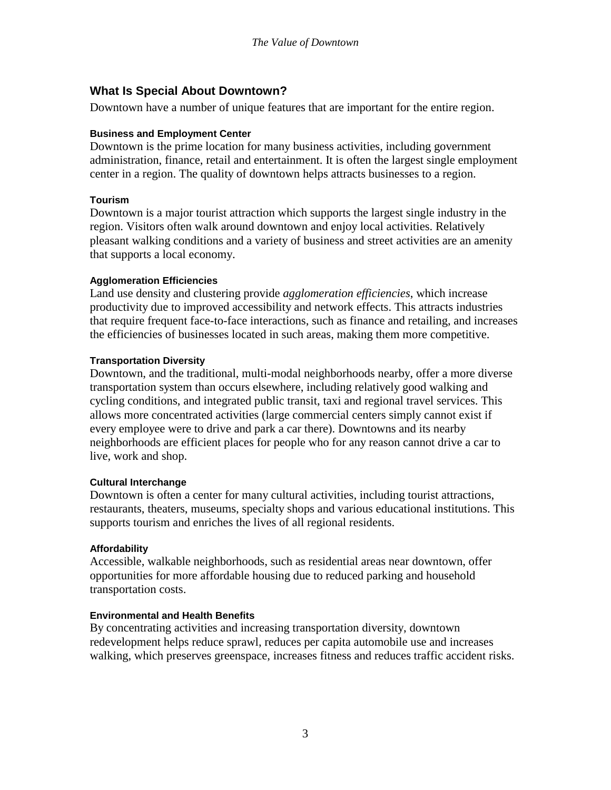# **What Is Special About Downtown?**

Downtown have a number of unique features that are important for the entire region.

### **Business and Employment Center**

Downtown is the prime location for many business activities, including government administration, finance, retail and entertainment. It is often the largest single employment center in a region. The quality of downtown helps attracts businesses to a region.

### **Tourism**

Downtown is a major tourist attraction which supports the largest single industry in the region. Visitors often walk around downtown and enjoy local activities. Relatively pleasant walking conditions and a variety of business and street activities are an amenity that supports a local economy.

### **Agglomeration Efficiencies**

Land use density and clustering provide *agglomeration efficiencies*, which increase productivity due to improved accessibility and network effects. This attracts industries that require frequent face-to-face interactions, such as finance and retailing, and increases the efficiencies of businesses located in such areas, making them more competitive.

### **Transportation Diversity**

Downtown, and the traditional, multi-modal neighborhoods nearby, offer a more diverse transportation system than occurs elsewhere, including relatively good walking and cycling conditions, and integrated public transit, taxi and regional travel services. This allows more concentrated activities (large commercial centers simply cannot exist if every employee were to drive and park a car there). Downtowns and its nearby neighborhoods are efficient places for people who for any reason cannot drive a car to live, work and shop.

### **Cultural Interchange**

Downtown is often a center for many cultural activities, including tourist attractions, restaurants, theaters, museums, specialty shops and various educational institutions. This supports tourism and enriches the lives of all regional residents.

# **Affordability**

Accessible, walkable neighborhoods, such as residential areas near downtown, offer opportunities for more affordable housing due to reduced parking and household transportation costs.

# **Environmental and Health Benefits**

By concentrating activities and increasing transportation diversity, downtown redevelopment helps reduce sprawl, reduces per capita automobile use and increases walking, which preserves greenspace, increases fitness and reduces traffic accident risks.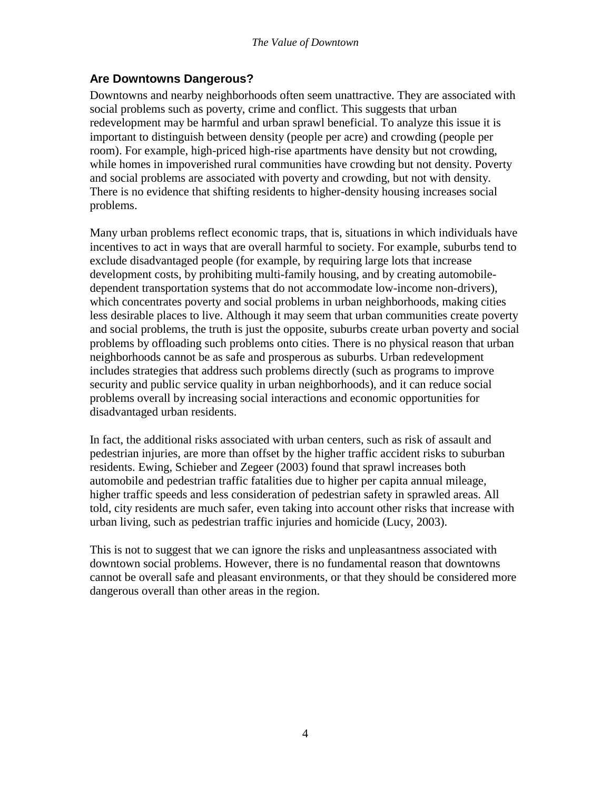# **Are Downtowns Dangerous?**

Downtowns and nearby neighborhoods often seem unattractive. They are associated with social problems such as poverty, crime and conflict. This suggests that urban redevelopment may be harmful and urban sprawl beneficial. To analyze this issue it is important to distinguish between density (people per acre) and crowding (people per room). For example, high-priced high-rise apartments have density but not crowding, while homes in impoverished rural communities have crowding but not density. Poverty and social problems are associated with poverty and crowding, but not with density. There is no evidence that shifting residents to higher-density housing increases social problems.

Many urban problems reflect economic traps, that is, situations in which individuals have incentives to act in ways that are overall harmful to society. For example, suburbs tend to exclude disadvantaged people (for example, by requiring large lots that increase development costs, by prohibiting multi-family housing, and by creating automobiledependent transportation systems that do not accommodate low-income non-drivers), which concentrates poverty and social problems in urban neighborhoods, making cities less desirable places to live. Although it may seem that urban communities create poverty and social problems, the truth is just the opposite, suburbs create urban poverty and social problems by offloading such problems onto cities. There is no physical reason that urban neighborhoods cannot be as safe and prosperous as suburbs. Urban redevelopment includes strategies that address such problems directly (such as programs to improve security and public service quality in urban neighborhoods), and it can reduce social problems overall by increasing social interactions and economic opportunities for disadvantaged urban residents.

In fact, the additional risks associated with urban centers, such as risk of assault and pedestrian injuries, are more than offset by the higher traffic accident risks to suburban residents. Ewing, Schieber and Zegeer (2003) found that sprawl increases both automobile and pedestrian traffic fatalities due to higher per capita annual mileage, higher traffic speeds and less consideration of pedestrian safety in sprawled areas. All told, city residents are much safer, even taking into account other risks that increase with urban living, such as pedestrian traffic injuries and homicide (Lucy, 2003).

This is not to suggest that we can ignore the risks and unpleasantness associated with downtown social problems. However, there is no fundamental reason that downtowns cannot be overall safe and pleasant environments, or that they should be considered more dangerous overall than other areas in the region.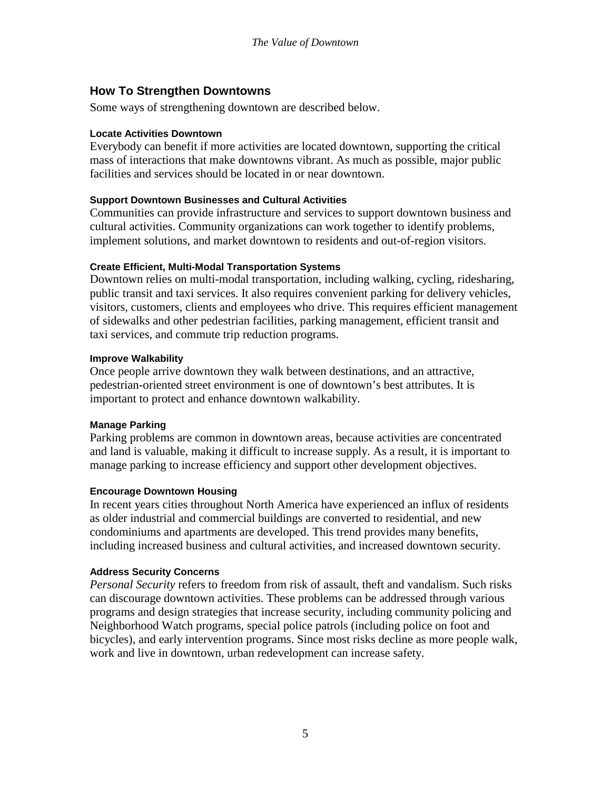# **How To Strengthen Downtowns**

Some ways of strengthening downtown are described below.

#### **Locate Activities Downtown**

Everybody can benefit if more activities are located downtown, supporting the critical mass of interactions that make downtowns vibrant. As much as possible, major public facilities and services should be located in or near downtown.

### **Support Downtown Businesses and Cultural Activities**

Communities can provide infrastructure and services to support downtown business and cultural activities. Community organizations can work together to identify problems, implement solutions, and market downtown to residents and out-of-region visitors.

### **Create Efficient, Multi-Modal Transportation Systems**

Downtown relies on multi-modal transportation, including walking, cycling, ridesharing, public transit and taxi services. It also requires convenient parking for delivery vehicles, visitors, customers, clients and employees who drive. This requires efficient management of sidewalks and other pedestrian facilities, parking management, efficient transit and taxi services, and commute trip reduction programs.

#### **Improve Walkability**

Once people arrive downtown they walk between destinations, and an attractive, pedestrian-oriented street environment is one of downtown's best attributes. It is important to protect and enhance downtown walkability.

### **Manage Parking**

Parking problems are common in downtown areas, because activities are concentrated and land is valuable, making it difficult to increase supply. As a result, it is important to manage parking to increase efficiency and support other development objectives.

### **Encourage Downtown Housing**

In recent years cities throughout North America have experienced an influx of residents as older industrial and commercial buildings are converted to residential, and new condominiums and apartments are developed. This trend provides many benefits, including increased business and cultural activities, and increased downtown security.

### **Address Security Concerns**

*Personal Security* refers to freedom from risk of assault, theft and vandalism. Such risks can discourage downtown activities. These problems can be addressed through various programs and design strategies that increase security, including community policing and Neighborhood Watch programs, special police patrols (including police on foot and bicycles), and early intervention programs. Since most risks decline as more people walk, work and live in downtown, urban redevelopment can increase safety.